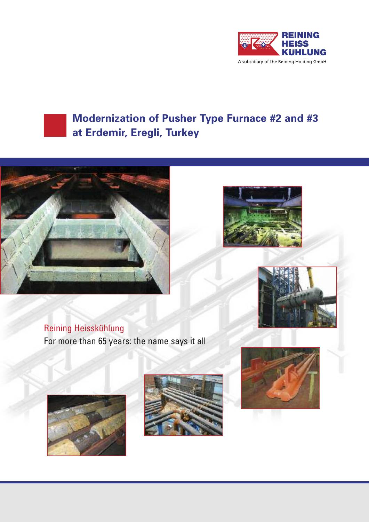



**Modernization of Pusher Type Furnace #2 and #3 at Erdemir, Eregli, Turkey**







Reining Heisskühlung For more than 65 years: the name says it all





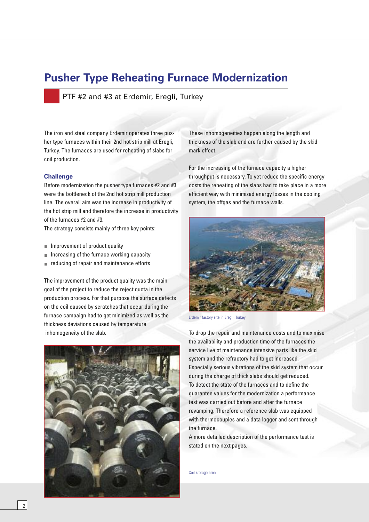# **Pusher Type Reheating Furnace Modernization**

PTF #2 and #3 at Erdemir, Eregli, Turkey

The iron and steel company Erdemir operates three pusher type furnaces within their 2nd hot strip mill at Eregli, Turkey. The furnaces are used for reheating of slabs for coil production.

#### **Challenge**

Before modernization the pusher type furnaces #2 and #3 were the bottleneck of the 2nd hot strip mill production line. The overall aim was the increase in productivity of the hot strip mill and therefore the increase in productivity of the furnaces #2 and #3.

The strategy consists mainly of three key points:

- **Improvement of product quality**
- $\blacksquare$  Increasing of the furnace working capacity
- reducing of repair and maintenance efforts

The improvement of the product quality was the main goal of the project to reduce the reject quota in the production process. For that purpose the surface defects on the coil caused by scratches that occur during the furnace campaign had to get minimized as well as the thickness deviations caused by temperature inhomogeneity of the slab.



These inhomogeneities happen along the length and thickness of the slab and are further caused by the skid mark effect.

For the increasing of the furnace capacity a higher throughput is necessary. To yet reduce the specific energy costs the reheating of the slabs had to take place in a more efficient way with minimized energy losses in the cooling system, the offgas and the furnace walls.



Erdemir factory site in Eregli, Turkey

To drop the repair and maintenance costs and to maximise the availability and production time of the furnaces the service live of maintenance intensive parts like the skid system and the refractory had to get increased. Especially serious vibrations of the skid system that occur during the charge of thick slabs should get reduced. To detect the state of the furnaces and to define the guarantee values for the modernization a performance test was carried out before and after the furnace revamping. Therefore a reference slab was equipped with thermocouples and a data logger and sent through the furnace.

A more detailed description of the performance test is stated on the next pages.

Coil storage area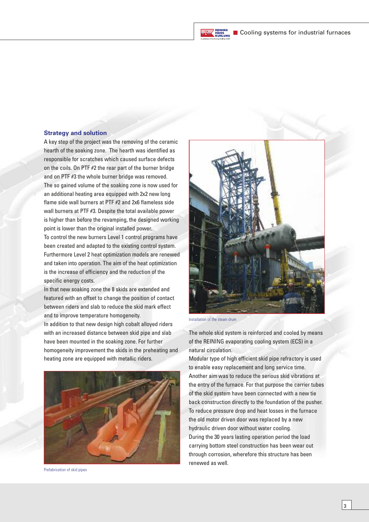#### **Strategy and solution**

A key step of the project was the removing of the ceramic hearth of the soaking zone. The hearth was identified as responsible for scratches which caused surface defects on the coils. On PTF #2 the rear part of the burner bridge and on PTF #3 the whole burner bridge was removed. The so gained volume of the soaking zone is now used for an additional heating area equipped with 2x2 new long flame side wall burners at PTF #2 and 2x6 flameless side wall burners at PTF #3. Despite the total available power is higher than before the revamping, the designed working point is lower than the original installed power.

To control the new burners Level 1 control programs have been created and adapted to the existing control system. Furthermore Level 2 heat optimization models are renewed and taken into operation. The aim of the heat optimization is the increase of efficiency and the reduction of the specific energy costs.

In that new soaking zone the 8 skids are extended and featured with an offset to change the position of contact between riders and slab to reduce the skid mark effect and to improve temperature homogeneity.

In addition to that new design high cobalt alloyed riders with an increased distance between skid pipe and slab have been mounted in the soaking zone. For further homogeneity improvement the skids in the preheating and heating zone are equipped with metallic riders.



Prefabrication of skid pipes



Installation of the steam drum

The whole skid system is reinforced and cooled by means of the REINING evaporating cooling system (ECS) in a natural circulation.

Modular type of high efficient skid pipe refractory is used to enable easy replacement and long service time. Another aim was to reduce the serious skid vibrations at the entry of the furnace. For that purpose the carrier tubes of the skid system have been connected with a new tie back construction directly to the foundation of the pusher. To reduce pressure drop and heat losses in the furnace the old motor driven door was replaced by a new hydraulic driven door without water cooling. During the 30 years lasting operation period the load carrying bottom steel construction has been wear out through corrosion, wherefore this structure has been renewed as well.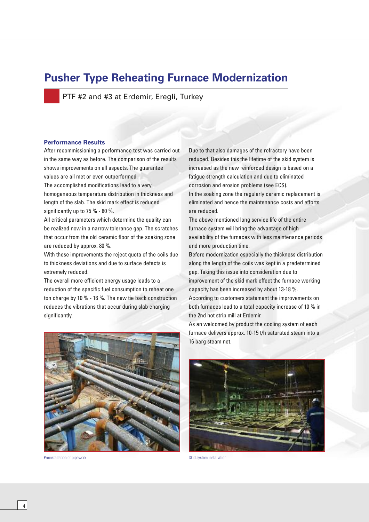## **Pusher Type Reheating Furnace Modernization**

PTF #2 and #3 at Erdemir, Eregli, Turkey

#### **Performance Results**

After recommissioning a performance test was carried out in the same way as before. The comparison of the results shows improvements on all aspects. The guarantee values are all met or even outperformed.

The accomplished modifications lead to a very homogeneous temperature distribution in thickness and length of the slab. The skid mark effect is reduced significantly up to 75 % - 80 %.

All critical parameters which determine the quality can be realized now in a narrow tolerance gap. The scratches that occur from the old ceramic floor of the soaking zone are reduced by approx. 80 %.

With these improvements the reject quota of the coils due to thickness deviations and due to surface defects is extremely reduced.

The overall more efficient energy usage leads to a reduction of the specific fuel consumption to reheat one ton charge by 10 % - 16 %. The new tie back construction reduces the vibrations that occur during slab charging significantly.



Due to that also damages of the refractory have been reduced. Besides this the lifetime of the skid system is increased as the new reinforced design is based on a fatigue strength calculation and due to eliminated corrosion and erosion problems (see ECS).

In the soaking zone the regularly ceramic replacement is eliminated and hence the maintenance costs and efforts are reduced.

The above mentioned long service life of the entire furnace system will bring the advantage of high availability of the furnaces with less maintenance periods and more production time.

Before modernization especially the thickness distribution along the length of the coils was kept in a predetermined gap. Taking this issue into consideration due to improvement of the skid mark effect the furnace working capacity has been increased by about 13-18 %.

According to customers statement the improvements on both furnaces lead to a total capacity increase of 10 % in the 2nd hot strip mill at Erdemir.

As an welcomed by product the cooling system of each furnace delivers approx. 10-15 t/h saturated steam into a 16 barg steam net.

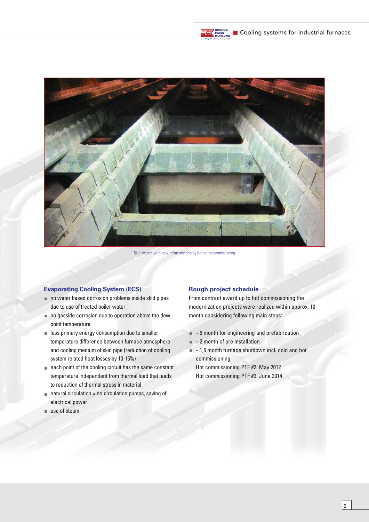

Skid system with new refractory shortly before recommissioning

#### **Evaporating Cooling System (ECS)**

- no water based corrosion problems inside skid pipes due to use of treated boiler water
- $\blacksquare$  no gasside corrosion due to operation above the dew point temperature
- **Example 1** less primary energy consumption due to smaller temperature difference between furnace atmosphere and cooling medium of skid pipe (reduction of cooling system related heat losses by 10-15%)
- each point of the cooling circuit has the same constant temperature independent from thermal load that leads to reduction of thermal stress in material
- $\blacksquare$  natural circulation = no circulation pumps, saving of electrical power
- use of steam

#### **Rough project schedule**

From contract award up to hot commissioning the modernization projects were realized within approx. 10 month considering following main steps:

- $\blacksquare$  ~ 9 month for engineering and prefabrication
- $\blacksquare$  ~ 2 month of pre installation
- $\blacksquare$  ~ 1,5 month furnace shutdown incl. cold and hot commissioning Hot commissioning PTF #2: May 2012

Hot commissioning PTF #3: June 2014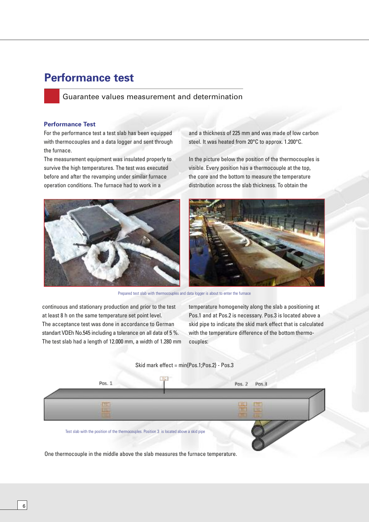## **Performance test**

Guarantee values measurement and determination

#### **Performance Test**

6

For the performance test a test slab has been equipped with thermocouples and a data logger and sent through the furnace.

The measurement equipment was insulated properly to survive the high temperatures. The test was executed before and after the revamping under similar furnace operation conditions. The furnace had to work in a

and a thickness of 225 mm and was made of low carbon steel. It was heated from 20°C to approx. 1.200°C.

In the picture below the position of the thermocouples is visible. Every position has a thermocouple at the top, the core and the bottom to measure the temperature distribution across the slab thickness. To obtain the



Prepared test slab with thermocouples and data logger is about to enter the furnace

continuous and stationary production and prior to the test at least 8 h on the same temperature set point level. The acceptance test was done in accordance to German standart VDEh No.545 including a tolerance on all data of 5 %. The test slab had a length of 12.000 mm, a width of 1.280 mm temperature homogeneity along the slab a positioning at Pos.1 and at Pos.2 is necessary. Pos.3 is located above a skid pipe to indicate the skid mark effect that is calculated with the temperature difference of the bottom thermocouples:

Skid mark effect = min{Pos.1;Pos.2} - Pos.3



One thermocouple in the middle above the slab measures the furnace temperature.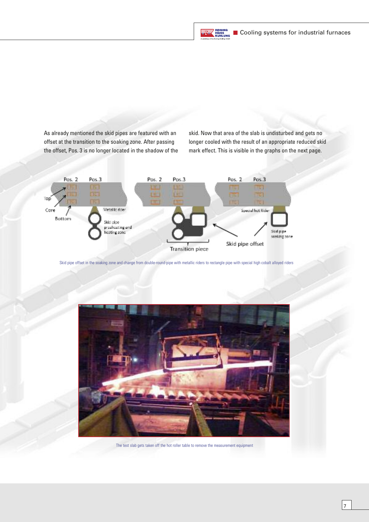**EXAMPLE SEINING**<br>KÜHLUNG Cooling systems for industrial furnaces

 $\vert$ <sub>7</sub>

As already mentioned the skid pipes are featured with an offset at the transition to the soaking zone. After passing the offset, Pos. 3 is no longer located in the shadow of the skid. Now that area of the slab is undisturbed and gets no longer cooled with the result of an appropriate reduced skid mark effect. This is visible in the graphs on the next page.



Skid pipe offset in the soaking zone and change from double-round-pipe with metallic riders to rectangle pipe with special high cobalt alloyed riders



The test slab gets taken off the hot roller table to remove the measurement equipment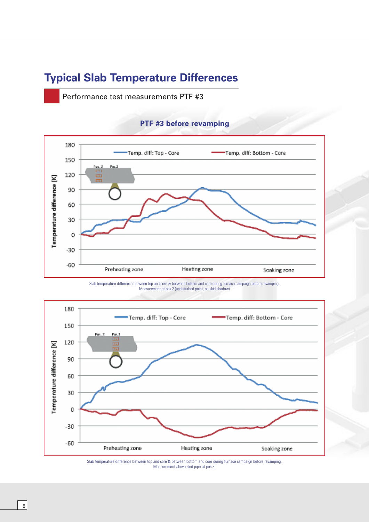# **Typical Slab Temperature Differences**

Performance test measurements PTF #3

## **PTF #3 before revamping**



Slab temperature difference between top and core & between bottom and core during furnace campaign before revamping. Measurement at pos.2 (undisturbed point, no skid shadow)



Slab temperature difference between top and core & between bottom and core during furnace campaign before revamping. Measurement above skid pipe at pos.3.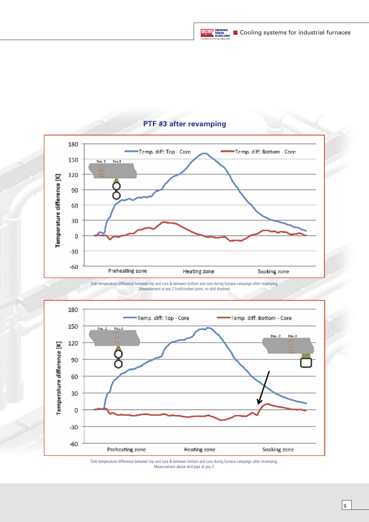**EXAMPLE SEINING**<br>KÜHLUNG Cooling systems for industrial furnaces



### **PTF #3 after revamping**

Slab temperature difference between top and core & between bottom and core during furnace campaign after revamping. Measurement at pos.2 (undisturbed point, no skid shadow)



Slab temperature difference between top and core & between bottom and core during furnace campaign after revamping. Measurement above skid pipe at pos.3.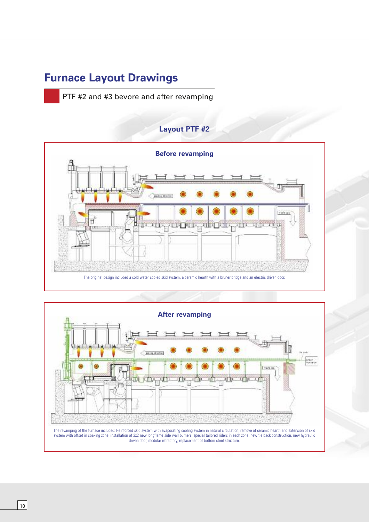# **Furnace Layout Drawings**

PTF #2 and #3 bevore and after revamping

## **Layout PTF #2**





driven door, modular refractory, replacement of bottom steel structure.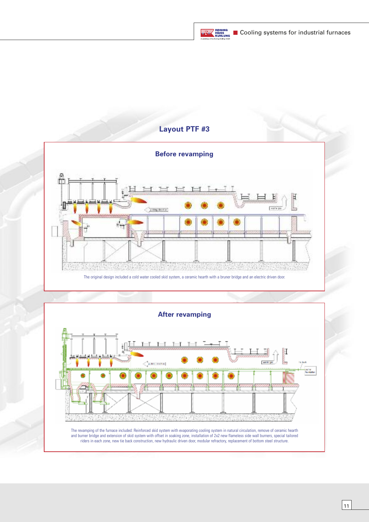**EXAMPLE SEINING**<br>KÜHLUNG Cooling systems for industrial furnaces



The revamping of the furnace included: Reinforced skid system with evaporating cooling system in natural circulation, remove of ceramic hearth and burner bridge and extension of skid system with offset in soaking zone, installation of 2x2 new flameless side wall burners, special tailored riders in each zone, new tie back construction, new hydraulic driven door, modular refractory, replacement of bottom steel structure.